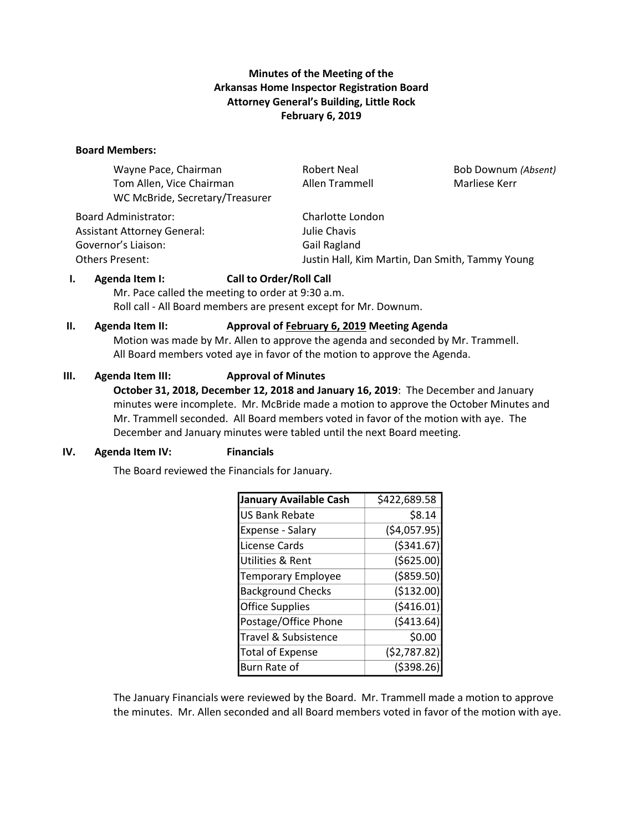# **Minutes of the Meeting of the Arkansas Home Inspector Registration Board Attorney General's Building, Little Rock February 6, 2019**

### **Board Members:**

| Wayne Pace, Chairman               | <b>Robert Neal</b>                              | Bob Downum (Absent) |
|------------------------------------|-------------------------------------------------|---------------------|
| Tom Allen, Vice Chairman           | Allen Trammell                                  | Marliese Kerr       |
| WC McBride, Secretary/Treasurer    |                                                 |                     |
| <b>Board Administrator:</b>        | Charlotte London                                |                     |
| <b>Assistant Attorney General:</b> | Julie Chavis                                    |                     |
| Governor's Liaison:                | Gail Ragland                                    |                     |
| Others Present:                    | Justin Hall, Kim Martin, Dan Smith, Tammy Young |                     |
|                                    |                                                 |                     |

# **I. Agenda Item I: Call to Order/Roll Call**

Mr. Pace called the meeting to order at 9:30 a.m. Roll call - All Board members are present except for Mr. Downum.

#### **II. Agenda Item II: Approval of February 6, 2019 Meeting Agenda**

Motion was made by Mr. Allen to approve the agenda and seconded by Mr. Trammell. All Board members voted aye in favor of the motion to approve the Agenda.

#### **III. Agenda Item III: Approval of Minutes**

**October 31, 2018, December 12, 2018 and January 16, 2019**: The December and January minutes were incomplete. Mr. McBride made a motion to approve the October Minutes and Mr. Trammell seconded. All Board members voted in favor of the motion with aye. The December and January minutes were tabled until the next Board meeting.

#### **IV. Agenda Item IV: Financials**

The Board reviewed the Financials for January.

| <b>January Available Cash</b> | \$422,689.58 |
|-------------------------------|--------------|
| <b>US Bank Rebate</b>         | \$8.14       |
| Expense - Salary              | (54,057.95)  |
| License Cards                 | ( \$341.67)  |
| Utilities & Rent              | ( \$625.00)  |
| <b>Temporary Employee</b>     | ( \$859.50)  |
| <b>Background Checks</b>      | (\$132.00)   |
| <b>Office Supplies</b>        | ( \$416.01)  |
| Postage/Office Phone          | (5413.64)    |
| Travel & Subsistence          | \$0.00       |
| <b>Total of Expense</b>       | (52, 787.82) |
| Burn Rate of                  | ( \$398.26)  |

The January Financials were reviewed by the Board. Mr. Trammell made a motion to approve the minutes. Mr. Allen seconded and all Board members voted in favor of the motion with aye.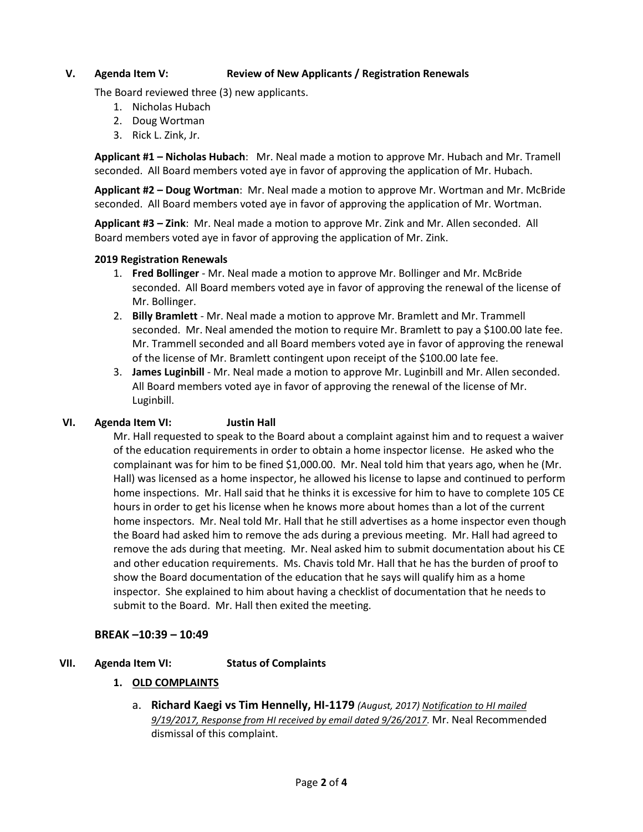# **V. Agenda Item V: Review of New Applicants / Registration Renewals**

The Board reviewed three (3) new applicants.

- 1. Nicholas Hubach
- 2. Doug Wortman
- 3. Rick L. Zink, Jr.

**Applicant #1 – Nicholas Hubach**: Mr. Neal made a motion to approve Mr. Hubach and Mr. Tramell seconded. All Board members voted aye in favor of approving the application of Mr. Hubach.

**Applicant #2 – Doug Wortman**: Mr. Neal made a motion to approve Mr. Wortman and Mr. McBride seconded. All Board members voted aye in favor of approving the application of Mr. Wortman.

**Applicant #3 – Zink**: Mr. Neal made a motion to approve Mr. Zink and Mr. Allen seconded. All Board members voted aye in favor of approving the application of Mr. Zink.

#### **2019 Registration Renewals**

- 1. **Fred Bollinger** Mr. Neal made a motion to approve Mr. Bollinger and Mr. McBride seconded. All Board members voted aye in favor of approving the renewal of the license of Mr. Bollinger.
- 2. **Billy Bramlett** Mr. Neal made a motion to approve Mr. Bramlett and Mr. Trammell seconded. Mr. Neal amended the motion to require Mr. Bramlett to pay a \$100.00 late fee. Mr. Trammell seconded and all Board members voted aye in favor of approving the renewal of the license of Mr. Bramlett contingent upon receipt of the \$100.00 late fee.
- 3. **James Luginbill** Mr. Neal made a motion to approve Mr. Luginbill and Mr. Allen seconded. All Board members voted aye in favor of approving the renewal of the license of Mr. Luginbill.

## **VI. Agenda Item VI: Justin Hall**

Mr. Hall requested to speak to the Board about a complaint against him and to request a waiver of the education requirements in order to obtain a home inspector license. He asked who the complainant was for him to be fined \$1,000.00. Mr. Neal told him that years ago, when he (Mr. Hall) was licensed as a home inspector, he allowed his license to lapse and continued to perform home inspections. Mr. Hall said that he thinks it is excessive for him to have to complete 105 CE hours in order to get his license when he knows more about homes than a lot of the current home inspectors. Mr. Neal told Mr. Hall that he still advertises as a home inspector even though the Board had asked him to remove the ads during a previous meeting. Mr. Hall had agreed to remove the ads during that meeting. Mr. Neal asked him to submit documentation about his CE and other education requirements. Ms. Chavis told Mr. Hall that he has the burden of proof to show the Board documentation of the education that he says will qualify him as a home inspector. She explained to him about having a checklist of documentation that he needs to submit to the Board. Mr. Hall then exited the meeting.

## **BREAK –10:39 – 10:49**

## **VII. Agenda Item VI: Status of Complaints**

- **1. OLD COMPLAINTS**
	- a. **Richard Kaegi vs Tim Hennelly, HI-1179** *(August, 2017) Notification to HI mailed 9/19/2017, Response from HI received by email dated 9/26/2017.* Mr. Neal Recommended dismissal of this complaint.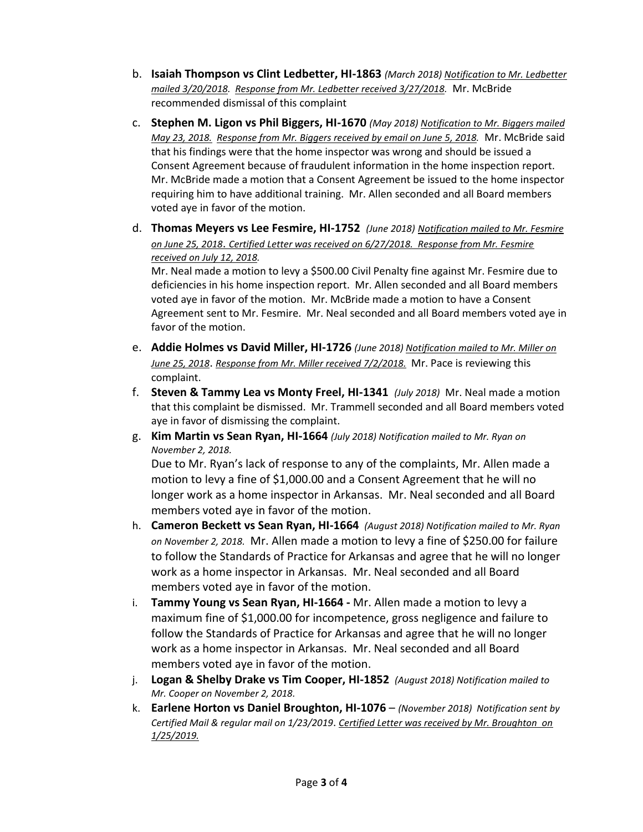- b. **Isaiah Thompson vs Clint Ledbetter, HI-1863** *(March 2018) Notification to Mr. Ledbetter mailed 3/20/2018. Response from Mr. Ledbetter received 3/27/2018.* Mr. McBride recommended dismissal of this complaint
- c. **Stephen M. Ligon vs Phil Biggers, HI-1670** *(May 2018) Notification to Mr. Biggers mailed May 23, 2018. Response from Mr. Biggers received by email on June 5, 2018.* Mr. McBride said that his findings were that the home inspector was wrong and should be issued a Consent Agreement because of fraudulent information in the home inspection report. Mr. McBride made a motion that a Consent Agreement be issued to the home inspector requiring him to have additional training. Mr. Allen seconded and all Board members voted aye in favor of the motion.
- d. **Thomas Meyers vs Lee Fesmire, HI-1752** *(June 2018) Notification mailed to Mr. Fesmire on June 25, 2018*. *Certified Letter was received on 6/27/2018. Response from Mr. Fesmire received on July 12, 2018.*

Mr. Neal made a motion to levy a \$500.00 Civil Penalty fine against Mr. Fesmire due to deficiencies in his home inspection report. Mr. Allen seconded and all Board members voted aye in favor of the motion. Mr. McBride made a motion to have a Consent Agreement sent to Mr. Fesmire. Mr. Neal seconded and all Board members voted aye in favor of the motion.

- e. **Addie Holmes vs David Miller, HI-1726** *(June 2018) Notification mailed to Mr. Miller on June 25, 2018*. *Response from Mr. Miller received 7/2/2018.* Mr. Pace is reviewing this complaint.
- f. **Steven & Tammy Lea vs Monty Freel, HI-1341** *(July 2018)* Mr. Neal made a motion that this complaint be dismissed. Mr. Trammell seconded and all Board members voted aye in favor of dismissing the complaint.
- g. **Kim Martin vs Sean Ryan, HI-1664** *(July 2018) Notification mailed to Mr. Ryan on November 2, 2018.*

Due to Mr. Ryan's lack of response to any of the complaints, Mr. Allen made a motion to levy a fine of \$1,000.00 and a Consent Agreement that he will no longer work as a home inspector in Arkansas. Mr. Neal seconded and all Board members voted aye in favor of the motion.

- h. **Cameron Beckett vs Sean Ryan, HI-1664** *(August 2018) Notification mailed to Mr. Ryan on November 2, 2018.* Mr. Allen made a motion to levy a fine of \$250.00 for failure to follow the Standards of Practice for Arkansas and agree that he will no longer work as a home inspector in Arkansas. Mr. Neal seconded and all Board members voted aye in favor of the motion.
- i. **Tammy Young vs Sean Ryan, HI-1664 -** Mr. Allen made a motion to levy a maximum fine of \$1,000.00 for incompetence, gross negligence and failure to follow the Standards of Practice for Arkansas and agree that he will no longer work as a home inspector in Arkansas. Mr. Neal seconded and all Board members voted aye in favor of the motion.
- j. **Logan & Shelby Drake vs Tim Cooper, HI-1852** *(August 2018) Notification mailed to Mr. Cooper on November 2, 2018.*
- k. **Earlene Horton vs Daniel Broughton, HI-1076**  *(November 2018) Notification sent by Certified Mail & regular mail on 1/23/2019*. *Certified Letter was received by Mr. Broughton on 1/25/2019.*